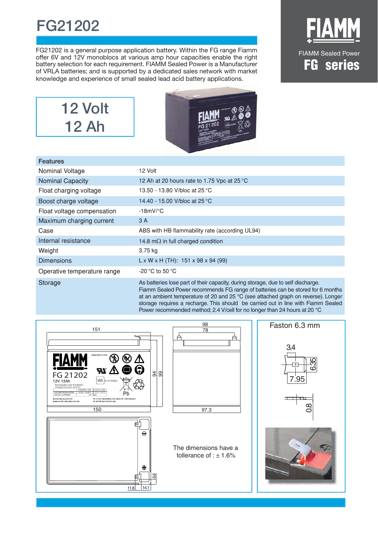## **FG21202**

FG21202 is a general purpose application battery. Within the FG range Fiamm offer 6V and 12V monoblocs at various amp hour capacities enable the right battery selection for each requirement. FIAMM Sealed Power is a Manufacturer of VRLA batteries; and is supported by a dedicated sales network with market knowledge and experience of small sealed lead acid battery applications.







| <b>Features</b>             |                                                                                  |
|-----------------------------|----------------------------------------------------------------------------------|
| Nominal Voltage             | 12 Volt                                                                          |
| <b>Nominal Capacity</b>     | 12 Ah at 20 hours rate to 1.75 Vpc at 25 °C                                      |
| Float charging voltage      | 13.50 - 13.80 V/bloc at 25 °C                                                    |
| Boost charge voltage        | 14.40 - 15.00 V/bloc at 25 °C                                                    |
| Float voltage compensation  | $-18mV$ <sup>o</sup> C                                                           |
| Maximum charging current    | 3 A                                                                              |
| Case                        | ABS with HB flammability rate (according UL94)                                   |
| Internal resistance         | 14.8 m $\Omega$ in full charged condition                                        |
| Weight                      | 3.75 kg                                                                          |
| <b>Dimensions</b>           | $L \times W \times H$ (TH): 151 x 98 x 94 (99)                                   |
| Operative temperature range | -20 °C to 50 °C                                                                  |
| Storage                     | As batteries lose part of their capacity, during storage, due to self discharge. |

Fiamm Sealed Power recommends FG range of batteries can be stored for 6 months at an ambient temperature of 20 and 25 °C (see attached graph on reverse). Longer storage requires a recharge. This should be carried out in line with Fiamm Sealed Power recommended method; 2.4 V/cell for no longer than 24 hours at 20 °C